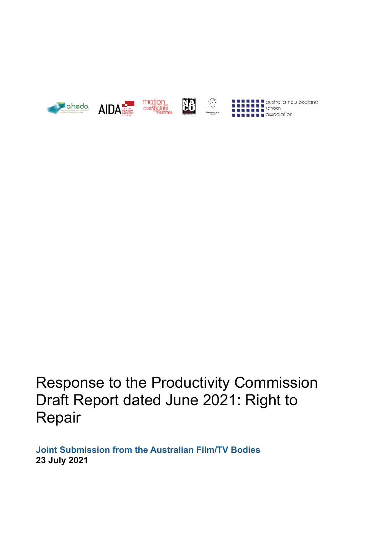







**The Contract of Second Contract of Second Second Second Property Contract of Second Property Contract of Second**<br> **Contract of Second Property Contract of America** Contract of Contract of Contract of Contract of Contract

Response to the Productivity Commission Draft Report dated June 2021: Right to Repair

**Joint Submission from the Australian Film/TV Bodies 23 July 2021**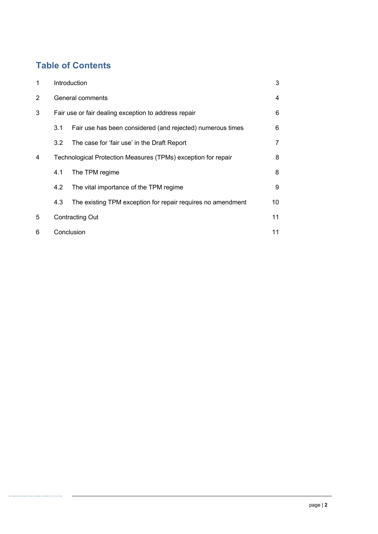# **Table of Contents**

| 1 | Introduction                                                  |                                                             | 3  |
|---|---------------------------------------------------------------|-------------------------------------------------------------|----|
| 2 | General comments                                              |                                                             | 4  |
| 3 | Fair use or fair dealing exception to address repair          |                                                             | 6  |
|   | 3.1                                                           | Fair use has been considered (and rejected) numerous times  | 6  |
|   | 3.2                                                           | The case for 'fair use' in the Draft Report                 | 7  |
| 4 | Technological Protection Measures (TPMs) exception for repair |                                                             | 8  |
|   | 4.1                                                           | The TPM regime                                              | 8  |
|   | 4.2                                                           | The vital importance of the TPM regime                      | 9  |
|   | 4.3                                                           | The existing TPM exception for repair requires no amendment | 10 |
| 5 | <b>Contracting Out</b>                                        |                                                             | 11 |
| 6 | Conclusion                                                    |                                                             | 11 |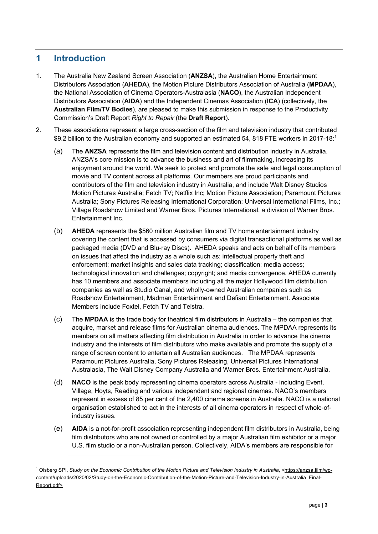# **1 Introduction**

- 1. The Australia New Zealand Screen Association (**ANZSA**), the Australian Home Entertainment Distributors Association (**AHEDA**), the Motion Picture Distributors Association of Australia (**MPDAA**), the National Association of Cinema Operators-Australasia (**NACO**), the Australian Independent Distributors Association (**AIDA**) and the Independent Cinemas Association (**ICA**) (collectively, the **Australian Film/TV Bodies**), are pleased to make this submission in response to the Productivity Commission's Draft Report *Right to Repair* (the **Draft Report**).
- 2. These associations represent a large cross-section of the film and television industry that contributed \$9.2 billion to the Australian economy and supported an estimated 54, 818 FTE workers in 2017-18:<sup>1</sup>
	- (a) The **ANZSA** represents the film and television content and distribution industry in Australia. ANZSA's core mission is to advance the business and art of filmmaking, increasing its enjoyment around the world. We seek to protect and promote the safe and legal consumption of movie and TV content across all platforms. Our members are proud participants and contributors of the film and television industry in Australia, and include Walt Disney Studios Motion Pictures Australia; Fetch TV; Netflix Inc; Motion Picture Association; Paramount Pictures Australia; Sony Pictures Releasing International Corporation; Universal International Films, Inc.; Village Roadshow Limited and Warner Bros. Pictures International, a division of Warner Bros. Entertainment Inc.
	- (b) **AHEDA** represents the \$560 million Australian film and TV home entertainment industry covering the content that is accessed by consumers via digital transactional platforms as well as packaged media (DVD and Blu-ray Discs). AHEDA speaks and acts on behalf of its members on issues that affect the industry as a whole such as: intellectual property theft and enforcement; market insights and sales data tracking; classification; media access; technological innovation and challenges; copyright; and media convergence. AHEDA currently has 10 members and associate members including all the major Hollywood film distribution companies as well as Studio Canal, and wholly-owned Australian companies such as Roadshow Entertainment, Madman Entertainment and Defiant Entertainment. Associate Members include Foxtel, Fetch TV and Telstra.
	- (c) The **MPDAA** is the trade body for theatrical film distributors in Australia the companies that acquire, market and release films for Australian cinema audiences. The MPDAA represents its members on all matters affecting film distribution in Australia in order to advance the cinema industry and the interests of film distributors who make available and promote the supply of a range of screen content to entertain all Australian audiences. The MPDAA represents Paramount Pictures Australia, Sony Pictures Releasing, Universal Pictures International Australasia, The Walt Disney Company Australia and Warner Bros. Entertainment Australia.
	- (d) **NACO** is the peak body representing cinema operators across Australia including Event, Village, Hoyts, Reading and various independent and regional cinemas. NACO's members represent in excess of 85 per cent of the 2,400 cinema screens in Australia. NACO is a national organisation established to act in the interests of all cinema operators in respect of whole-ofindustry issues.
	- (e) **AIDA** is a not-for-profit association representing independent film distributors in Australia, being film distributors who are not owned or controlled by a major Australian film exhibitor or a major U.S. film studio or a non-Australian person. Collectively, AIDA's members are responsible for

<sup>&</sup>lt;sup>1</sup> Olsberg SPI, *Study on the Economic Contribution of the Motion Picture and Television Industry in Australia, <https://anzsa.film/wp*content/uploads/2020/02/Study-on-the-Economic-Contribution-of-the-Motion-Picture-and-Television-Industry-in-Australia\_Final-Report.pdf>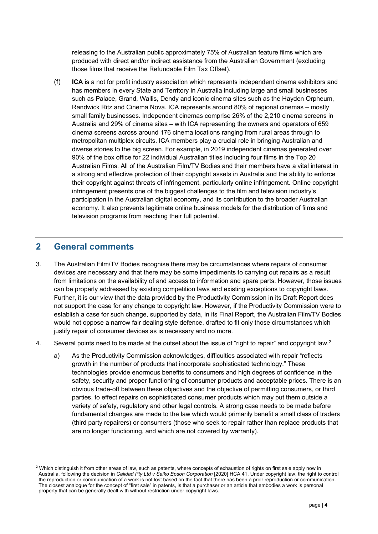releasing to the Australian public approximately 75% of Australian feature films which are produced with direct and/or indirect assistance from the Australian Government (excluding those films that receive the Refundable Film Tax Offset).

(f) **ICA** is a not for profit industry association which represents independent cinema exhibitors and has members in every State and Territory in Australia including large and small businesses such as Palace, Grand, Wallis, Dendy and iconic cinema sites such as the Hayden Orpheum, Randwick Ritz and Cinema Nova. ICA represents around 80% of regional cinemas – mostly small family businesses. Independent cinemas comprise 26% of the 2,210 cinema screens in Australia and 29% of cinema sites – with ICA representing the owners and operators of 659 cinema screens across around 176 cinema locations ranging from rural areas through to metropolitan multiplex circuits. ICA members play a crucial role in bringing Australian and diverse stories to the big screen. For example, in 2019 independent cinemas generated over 90% of the box office for 22 individual Australian titles including four films in the Top 20 Australian Films. All of the Australian Film/TV Bodies and their members have a vital interest in a strong and effective protection of their copyright assets in Australia and the ability to enforce their copyright against threats of infringement, particularly online infringement. Online copyright infringement presents one of the biggest challenges to the film and television industry's participation in the Australian digital economy, and its contribution to the broader Australian economy. It also prevents legitimate online business models for the distribution of films and television programs from reaching their full potential.

### **2 General comments**

- 3. The Australian Film/TV Bodies recognise there may be circumstances where repairs of consumer devices are necessary and that there may be some impediments to carrying out repairs as a result from limitations on the availability of and access to information and spare parts. However, those issues can be properly addressed by existing competition laws and existing exceptions to copyright laws. Further, it is our view that the data provided by the Productivity Commission in its Draft Report does not support the case for any change to copyright law. However, if the Productivity Commission were to establish a case for such change, supported by data, in its Final Report, the Australian Film/TV Bodies would not oppose a narrow fair dealing style defence, drafted to fit only those circumstances which justify repair of consumer devices as is necessary and no more.
- 4. Several points need to be made at the outset about the issue of "right to repair" and copyright law.<sup>2</sup>
	- a) As the Productivity Commission acknowledges, difficulties associated with repair "reflects growth in the number of products that incorporate sophisticated technology." These technologies provide enormous benefits to consumers and high degrees of confidence in the safety, security and proper functioning of consumer products and acceptable prices. There is an obvious trade-off between these objectives and the objective of permitting consumers, or third parties, to effect repairs on sophisticated consumer products which may put them outside a variety of safety, regulatory and other legal controls. A strong case needs to be made before fundamental changes are made to the law which would primarily benefit a small class of traders (third party repairers) or consumers (those who seek to repair rather than replace products that are no longer functioning, and which are not covered by warranty).

<sup>&</sup>lt;sup>2</sup> Which distinguish it from other areas of law, such as patents, where concepts of exhaustion of rights on first sale apply now in Australia, following the decision in *Calidad Pty Ltd v Seiko Epson Corporation* [2020] HCA 41. Under copyright law, the right to control the reproduction or communication of a work is not lost based on the fact that there has been a prior reproduction or communication. The closest analogue for the concept of "first sale" in patents, is that a purchaser or an article that embodies a work is personal property that can be generally dealt with without restriction under copyright laws.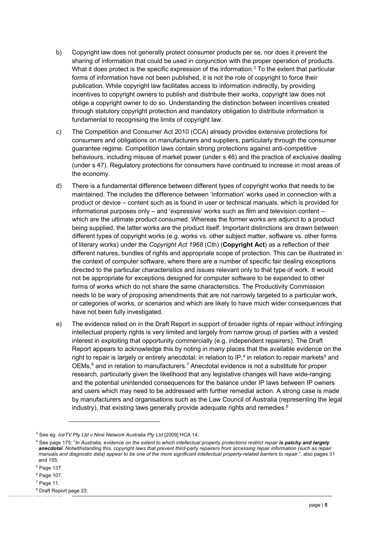- b) Copyright law does not generally protect consumer products per se, nor does it prevent the sharing of information that could be used in conjunction with the proper operation of products. What it does protect is the specific expression of the information. $3$  To the extent that particular forms of information have not been published, it is not the role of copyright to force their publication. While copyright law facilitates access to information indirectly, by providing incentives to copyright owners to publish and distribute their works, copyright law does not oblige a copyright owner to do so. Understanding the distinction between incentives created through statutory copyright protection and mandatory obligation to distribute information is fundamental to recognising the limits of copyright law.
- c) The Competition and Consumer Act 2010 (CCA) already provides extensive protections for consumers and obligations on manufacturers and suppliers, particularly through the consumer guarantee regime. Competition laws contain strong protections against anti-competitive behaviours, including misuse of market power (under s 46) and the practice of exclusive dealing (under s 47). Regulatory protections for consumers have continued to increase in most areas of the economy.
- d) There is a fundamental difference between different types of copyright works that needs to be maintained. The includes the difference between 'information' works used in connection with a product or device – content such as is found in user or technical manuals, which is provided for informational purposes only – and 'expressive' works such as film and television content – which are the ultimate product consumed. Whereas the former works are adjunct to a product being supplied, the latter works are the product itself. Important distinctions are drawn between different types of copyright works (e.g. works vs. other subject matter, software vs. other forms of literary works) under the *Copyright Act 1968* (Cth) (**Copyright Act**) as a reflection of their different natures, bundles of rights and appropriate scope of protection. This can be illustrated in the context of computer software, where there are a number of specific fair dealing exceptions directed to the particular characteristics and issues relevant only to that type of work. It would not be appropriate for exceptions designed for computer software to be expended to other forms of works which do not share the same characteristics. The Productivity Commission needs to be wary of proposing amendments that are not narrowly targeted to a particular work, or categories of works, or scenarios and which are likely to have much wider consequences that have not been fully investigated.
- e) The evidence relied on in the Draft Report in support of broader rights of repair without infringing intellectual property rights is very limited and largely from narrow group of parties with a vested interest in exploiting that opportunity commercially (e.g. independent repairers). The Draft Report appears to acknowledge this by noting in many places that the available evidence on the right to repair is largely or entirely anecdotal: in relation to  $IP<sub>1</sub><sup>4</sup>$  in relation to repair markets<sup>5</sup> and OEMs,<sup>6</sup> and in relation to manufacturers.<sup>7</sup> Anecdotal evidence is not a substitute for proper research, particularly given the likelihood that any legislative changes will have wide-ranging and the potential unintended consequences for the balance under IP laws between IP owners and users which may need to be addressed with further remedial action. A strong case is made by manufacturers and organisations such as the Law Council of Australia (representing the legal industry), that existing laws generally provide adequate rights and remedies. $8$

<sup>3</sup> See eg. *IceTV Pty Ltd v Nine Network Australia Pty Ltd* [2009] HCA 14.

<sup>4</sup> See page 175: "*In Australia, evidence on the extent to which intellectual property protections restrict repair is patchy and largely*  anecdotal. Notwithstanding this, copyright laws that prevent third-party repairers from accessing repair information (such as repair *manuals and diagnostic data) appear to be one of the more significant intellectual property-related barriers to repair.*", also pages 31 and 155.

<sup>5</sup> Page 137.

<sup>6</sup> Page 107.

<sup>7</sup> Page 11.

 $8$  Draft Report page 23.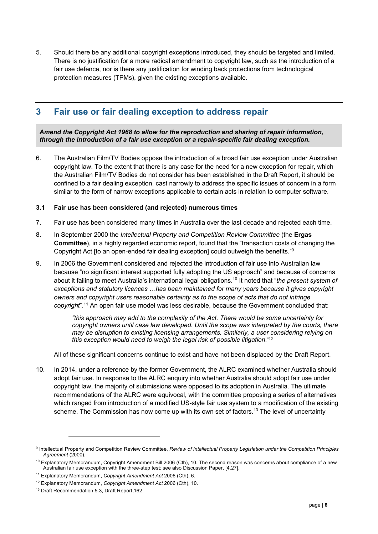5. Should there be any additional copyright exceptions introduced, they should be targeted and limited. There is no justification for a more radical amendment to copyright law, such as the introduction of a fair use defence, nor is there any justification for winding back protections from technological protection measures (TPMs), given the existing exceptions available.

# **3 Fair use or fair dealing exception to address repair**

*Amend the Copyright Act 1968 to allow for the reproduction and sharing of repair information, through the introduction of a fair use exception or a repair-specific fair dealing exception.*

6. The Australian Film/TV Bodies oppose the introduction of a broad fair use exception under Australian copyright law. To the extent that there is any case for the need for a new exception for repair, which the Australian Film/TV Bodies do not consider has been established in the Draft Report, it should be confined to a fair dealing exception, cast narrowly to address the specific issues of concern in a form similar to the form of narrow exceptions applicable to certain acts in relation to computer software.

### **3.1 Fair use has been considered (and rejected) numerous times**

- 7. Fair use has been considered many times in Australia over the last decade and rejected each time.
- 8. In September 2000 the *Intellectual Property and Competition Review Committee* (the **Ergas Committee**), in a highly regarded economic report, found that the "transaction costs of changing the Copyright Act [to an open-ended fair dealing exception] could outweigh the benefits."9
- 9. In 2006 the Government considered and rejected the introduction of fair use into Australian law because "no significant interest supported fully adopting the US approach" and because of concerns about it failing to meet Australia's international legal obligations.10 It noted that "*the present system of exceptions and statutory licences …has been maintained for many years because it gives copyright owners and copyright users reasonable certainty as to the scope of acts that do not infringe copyright*".11 An open fair use model was less desirable, because the Government concluded that:

*"this approach may add to the complexity of the Act. There would be some uncertainty for copyright owners until case law developed. Until the scope was interpreted by the courts, there may be disruption to existing licensing arrangements. Similarly, a user considering relying on this exception would need to weigh the legal risk of possible litigation*." 12

All of these significant concerns continue to exist and have not been displaced by the Draft Report.

10. In 2014, under a reference by the former Government, the ALRC examined whether Australia should adopt fair use. In response to the ALRC enquiry into whether Australia should adopt fair use under copyright law, the majority of submissions were opposed to its adoption in Australia. The ultimate recommendations of the ALRC were equivocal, with the committee proposing a series of alternatives which ranged from introduction of a modified US-style fair use system to a modification of the existing scheme. The Commission has now come up with its own set of factors.<sup>13</sup> The level of uncertainty

<sup>9</sup> Intellectual Property and Competition Review Committee, *Review of Intellectual Property Legislation under the Competition Principles Agreement* (2000).

 $10$  Explanatory Memorandum, Copyright Amendment Bill 2006 (Cth), 10. The second reason was concerns about compliance of a new Australian fair use exception with the three-step test: see also Discussion Paper, [4.27].

<sup>11</sup> Explanatory Memorandum, *Copyright Amendment Act* 2006 (Cth), 6.

<sup>12</sup> Explanatory Memorandum, *Copyright Amendment Act* 2006 (Cth), 10.

<sup>&</sup>lt;sup>13</sup> Draft Recommendation 5.3, Draft Report, 162.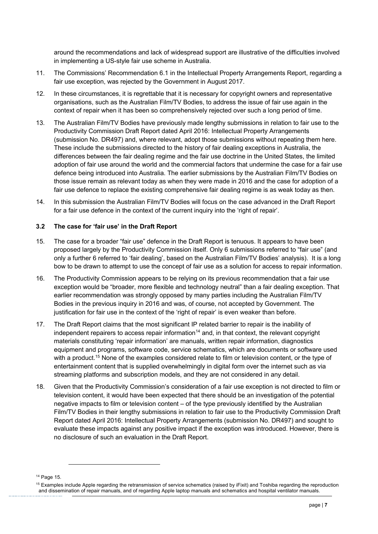around the recommendations and lack of widespread support are illustrative of the difficulties involved in implementing a US-style fair use scheme in Australia.

- 11. The Commissions' Recommendation 6.1 in the Intellectual Property Arrangements Report, regarding a fair use exception, was rejected by the Government in August 2017.
- 12. In these circumstances, it is regrettable that it is necessary for copyright owners and representative organisations, such as the Australian Film/TV Bodies, to address the issue of fair use again in the context of repair when it has been so comprehensively rejected over such a long period of time.
- 13. The Australian Film/TV Bodies have previously made lengthy submissions in relation to fair use to the Productivity Commission Draft Report dated April 2016: Intellectual Property Arrangements (submission No. DR497) and, where relevant, adopt those submissions without repeating them here. These include the submissions directed to the history of fair dealing exceptions in Australia, the differences between the fair dealing regime and the fair use doctrine in the United States, the limited adoption of fair use around the world and the commercial factors that undermine the case for a fair use defence being introduced into Australia. The earlier submissions by the Australian Film/TV Bodies on those issue remain as relevant today as when they were made in 2016 and the case for adoption of a fair use defence to replace the existing comprehensive fair dealing regime is as weak today as then.
- 14. In this submission the Australian Film/TV Bodies will focus on the case advanced in the Draft Report for a fair use defence in the context of the current inquiry into the 'right of repair'.

#### **3.2 The case for 'fair use' in the Draft Report**

- 15. The case for a broader "fair use" defence in the Draft Report is tenuous. It appears to have been proposed largely by the Productivity Commission itself. Only 6 submissions referred to "fair use" (and only a further 6 referred to 'fair dealing', based on the Australian Film/TV Bodies' analysis). It is a long bow to be drawn to attempt to use the concept of fair use as a solution for access to repair information.
- 16. The Productivity Commission appears to be relying on its previous recommendation that a fair use exception would be "broader, more flexible and technology neutral" than a fair dealing exception. That earlier recommendation was strongly opposed by many parties including the Australian Film/TV Bodies in the previous inquiry in 2016 and was, of course, not accepted by Government. The justification for fair use in the context of the 'right of repair' is even weaker than before.
- 17. The Draft Report claims that the most significant IP related barrier to repair is the inability of independent repairers to access repair information<sup>14</sup> and, in that context, the relevant copyright materials constituting 'repair information' are manuals, written repair information, diagnostics equipment and programs, software code, service schematics, which are documents or software used with a product.<sup>15</sup> None of the examples considered relate to film or television content, or the type of entertainment content that is supplied overwhelmingly in digital form over the internet such as via streaming platforms and subscription models, and they are not considered in any detail.
- 18. Given that the Productivity Commission's consideration of a fair use exception is not directed to film or television content, it would have been expected that there should be an investigation of the potential negative impacts to film or television content – of the type previously identified by the Australian Film/TV Bodies in their lengthy submissions in relation to fair use to the Productivity Commission Draft Report dated April 2016: Intellectual Property Arrangements (submission No. DR497) and sought to evaluate these impacts against any positive impact if the exception was introduced. However, there is no disclosure of such an evaluation in the Draft Report.

<sup>14</sup> Page 15.

<sup>&</sup>lt;sup>15</sup> Examples include Apple regarding the retransmission of service schematics (raised by iFixit) and Toshiba regarding the reproduction and dissemination of repair manuals, and of regarding Apple laptop manuals and schematics and hospital ventilator manuals.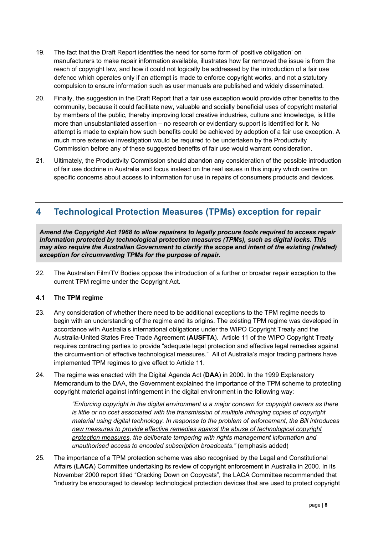- 19. The fact that the Draft Report identifies the need for some form of 'positive obligation' on manufacturers to make repair information available, illustrates how far removed the issue is from the reach of copyright law, and how it could not logically be addressed by the introduction of a fair use defence which operates only if an attempt is made to enforce copyright works, and not a statutory compulsion to ensure information such as user manuals are published and widely disseminated.
- 20. Finally, the suggestion in the Draft Report that a fair use exception would provide other benefits to the community, because it could facilitate new, valuable and socially beneficial uses of copyright material by members of the public, thereby improving local creative industries, culture and knowledge, is little more than unsubstantiated assertion – no research or evidentiary support is identified for it. No attempt is made to explain how such benefits could be achieved by adoption of a fair use exception. A much more extensive investigation would be required to be undertaken by the Productivity Commission before any of these suggested benefits of fair use would warrant consideration.
- 21. Ultimately, the Productivity Commission should abandon any consideration of the possible introduction of fair use doctrine in Australia and focus instead on the real issues in this inquiry which centre on specific concerns about access to information for use in repairs of consumers products and devices.

# **4 Technological Protection Measures (TPMs) exception for repair**

*Amend the Copyright Act 1968 to allow repairers to legally procure tools required to access repair information protected by technological protection measures (TPMs), such as digital locks. This may also require the Australian Government to clarify the scope and intent of the existing (related) exception for circumventing TPMs for the purpose of repair.*

22. The Australian Film/TV Bodies oppose the introduction of a further or broader repair exception to the current TPM regime under the Copyright Act.

### **4.1 The TPM regime**

- 23. Any consideration of whether there need to be additional exceptions to the TPM regime needs to begin with an understanding of the regime and its origins. The existing TPM regime was developed in accordance with Australia's international obligations under the WIPO Copyright Treaty and the Australia-United States Free Trade Agreement (**AUSFTA**). Article 11 of the WIPO Copyright Treaty requires contracting parties to provide "adequate legal protection and effective legal remedies against the circumvention of effective technological measures." All of Australia's major trading partners have implemented TPM regimes to give effect to Article 11.
- 24. The regime was enacted with the Digital Agenda Act (**DAA**) in 2000. In the 1999 Explanatory Memorandum to the DAA, the Government explained the importance of the TPM scheme to protecting copyright material against infringement in the digital environment in the following way:

*"Enforcing copyright in the digital environment is a major concern for copyright owners as there*  is little or no cost associated with the transmission of multiple infringing copies of copyright *material using digital technology. In response to the problem of enforcement, the Bill introduces new measures to provide effective remedies against the abuse of technological copyright protection measures, the deliberate tampering with rights management information and unauthorised access to encoded subscription broadcasts."* (emphasis added)

25. The importance of a TPM protection scheme was also recognised by the Legal and Constitutional Affairs (**LACA**) Committee undertaking its review of copyright enforcement in Australia in 2000. In its November 2000 report titled "Cracking Down on Copycats", the LACA Committee recommended that "industry be encouraged to develop technological protection devices that are used to protect copyright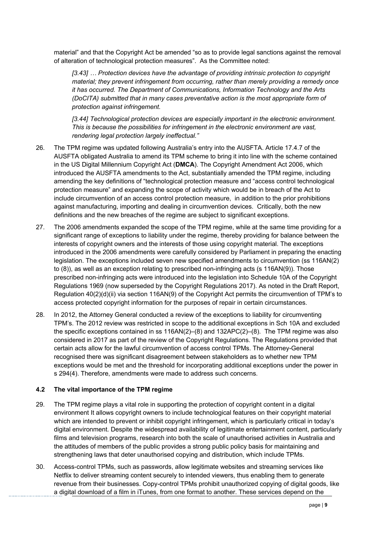material" and that the Copyright Act be amended "so as to provide legal sanctions against the removal of alteration of technological protection measures". As the Committee noted:

*[3.43] … Protection devices have the advantage of providing intrinsic protection to copyright material; they prevent infringement from occurring, rather than merely providing a remedy once it has occurred. The Department of Communications, Information Technology and the Arts (DoCITA) submitted that in many cases preventative action is the most appropriate form of protection against infringement.* 

*[3.44] Technological protection devices are especially important in the electronic environment. This is because the possibilities for infringement in the electronic environment are vast, rendering legal protection largely ineffectual."*

- 26. The TPM regime was updated following Australia's entry into the AUSFTA. Article 17.4.7 of the AUSFTA obligated Australia to amend its TPM scheme to bring it into line with the scheme contained in the US Digital Millennium Copyright Act (**DMCA**). The Copyright Amendment Act 2006, which introduced the AUSFTA amendments to the Act, substantially amended the TPM regime, including amending the key definitions of "technological protection measure and "access control technological protection measure" and expanding the scope of activity which would be in breach of the Act to include circumvention of an access control protection measure, in addition to the prior prohibitions against manufacturing, importing and dealing in circumvention devices. Critically, both the new definitions and the new breaches of the regime are subject to significant exceptions.
- 27. The 2006 amendments expanded the scope of the TPM regime, while at the same time providing for a significant range of exceptions to liability under the regime, thereby providing for balance between the interests of copyright owners and the interests of those using copyright material. The exceptions introduced in the 2006 amendments were carefully considered by Parliament in preparing the enacting legislation. The exceptions included seven new specified amendments to circumvention (ss 116AN(2) to (8)), as well as an exception relating to prescribed non-infringing acts (s 116AN(9)). Those prescribed non-infringing acts were introduced into the legislation into Schedule 10A of the Copyright Regulations 1969 (now superseded by the Copyright Regulations 2017). As noted in the Draft Report, Regulation 40(2)(d)(ii) via section 116AN(9) of the Copyright Act permits the circumvention of TPM's to access protected copyright information for the purposes of repair in certain circumstances.
- 28. In 2012, the Attorney General conducted a review of the exceptions to liability for circumventing TPM's. The 2012 review was restricted in scope to the additional exceptions in Sch 10A and excluded the specific exceptions contained in ss 116AN(2)–(8) and 132APC(2)–(8). The TPM regime was also considered in 2017 as part of the review of the Copyright Regulations. The Regulations provided that certain acts allow for the lawful circumvention of access control TPMs. The Attorney-General recognised there was significant disagreement between stakeholders as to whether new TPM exceptions would be met and the threshold for incorporating additional exceptions under the power in s 294(4). Therefore, amendments were made to address such concerns.

#### **4.2 The vital importance of the TPM regime**

- 29. The TPM regime plays a vital role in supporting the protection of copyright content in a digital environment It allows copyright owners to include technological features on their copyright material which are intended to prevent or inhibit copyright infringement, which is particularly critical in today's digital environment. Despite the widespread availability of legitimate entertainment content, particularly films and television programs, research into both the scale of unauthorised activities in Australia and the attitudes of members of the public provides a strong public policy basis for maintaining and strengthening laws that deter unauthorised copying and distribution, which include TPMs.
- 30. Access-control TPMs, such as passwords, allow legitimate websites and streaming services like Netflix to deliver streaming content securely to intended viewers, thus enabling them to generate revenue from their businesses. Copy-control TPMs prohibit unauthorized copying of digital goods, like a digital download of a film in iTunes, from one format to another. These services depend on the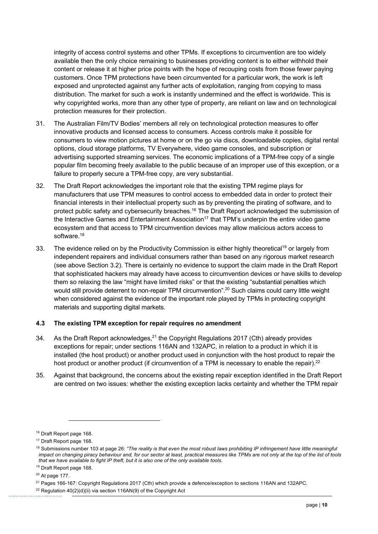integrity of access control systems and other TPMs. If exceptions to circumvention are too widely available then the only choice remaining to businesses providing content is to either withhold their content or release it at higher price points with the hope of recouping costs from those fewer paying customers. Once TPM protections have been circumvented for a particular work, the work is left exposed and unprotected against any further acts of exploitation, ranging from copying to mass distribution. The market for such a work is instantly undermined and the effect is worldwide. This is why copyrighted works, more than any other type of property, are reliant on law and on technological protection measures for their protection.

- 31. The Australian Film/TV Bodies' members all rely on technological protection measures to offer innovative products and licensed access to consumers. Access controls make it possible for consumers to view motion pictures at home or on the go via discs, downloadable copies, digital rental options, cloud storage platforms, TV Everywhere, video game consoles, and subscription or advertising supported streaming services. The economic implications of a TPM-free copy of a single popular film becoming freely available to the public because of an improper use of this exception, or a failure to properly secure a TPM-free copy, are very substantial.
- 32. The Draft Report acknowledges the important role that the existing TPM regime plays for manufacturers that use TPM measures to control access to embedded data in order to protect their financial interests in their intellectual property such as by preventing the pirating of software, and to protect public safety and cybersecurity breaches.<sup>16</sup> The Draft Report acknowledged the submission of the Interactive Games and Entertainment Association<sup>17</sup> that TPM's underpin the entire video game ecosystem and that access to TPM circumvention devices may allow malicious actors access to software.<sup>18</sup>
- 33. The evidence relied on by the Productivity Commission is either highly theoretical<sup>19</sup> or largely from independent repairers and individual consumers rather than based on any rigorous market research (see above Section 3.2). There is certainly no evidence to support the claim made in the Draft Report that sophisticated hackers may already have access to circumvention devices or have skills to develop them so relaxing the law "might have limited risks" or that the existing "substantial penalties which would still provide deterrent to non-repair TPM circumvention".<sup>20</sup> Such claims could carry little weight when considered against the evidence of the important role played by TPMs in protecting copyright materials and supporting digital markets.

### **4.3 The existing TPM exception for repair requires no amendment**

- 34. As the Draft Report acknowledges, $21$  the Copyright Regulations 2017 (Cth) already provides exceptions for repair; under sections 116AN and 132APC, in relation to a product in which it is installed (the host product) or another product used in conjunction with the host product to repair the host product or another product (if circumvention of a TPM is necessary to enable the repair).<sup>22</sup>
- 35. Against that background, the concerns about the existing repair exception identified in the Draft Report are centred on two issues: whether the existing exception lacks certainty and whether the TPM repair

<sup>&</sup>lt;sup>16</sup> Draft Report page 168.

<sup>&</sup>lt;sup>17</sup> Draft Report page 168.

<sup>&</sup>lt;sup>18</sup> Submissions number 103 at page 26: "The reality is that even the most robust laws prohibiting IP infringement have little meaningful *impact on changing piracy behaviour and, for our sector at least, practical measures like TPMs are not only at the top of the list of tools that we have available to fight IP theft, but it is also one of the only available tools*.

<sup>&</sup>lt;sup>19</sup> Draft Report page 168.

 $20$  At page 177.

<sup>&</sup>lt;sup>21</sup> Pages 166-167: Copyright Regulations 2017 (Cth) which provide a defence/exception to sections 116AN and 132APC.

<sup>&</sup>lt;sup>22</sup> Regulation  $40(2)(d)(ii)$  via section 116AN(9) of the Copyright Act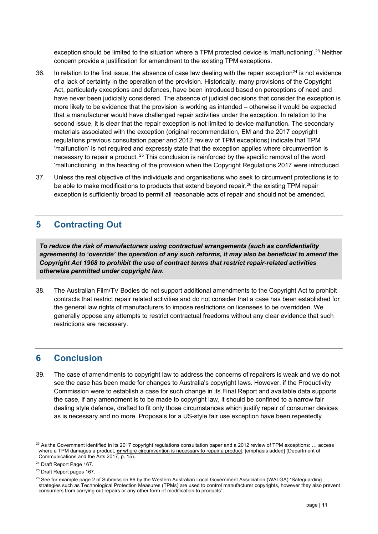exception should be limited to the situation where a TPM protected device is 'malfunctioning'.<sup>23</sup> Neither concern provide a justification for amendment to the existing TPM exceptions.

- 36. In relation to the first issue, the absence of case law dealing with the repair exception<sup>24</sup> is not evidence of a lack of certainty in the operation of the provision. Historically, many provisions of the Copyright Act, particularly exceptions and defences, have been introduced based on perceptions of need and have never been judicially considered. The absence of judicial decisions that consider the exception is more likely to be evidence that the provision is working as intended – otherwise it would be expected that a manufacturer would have challenged repair activities under the exception. In relation to the second issue, it is clear that the repair exception is not limited to device malfunction. The secondary materials associated with the exception (original recommendation, EM and the 2017 copyright regulations previous consultation paper and 2012 review of TPM exceptions) indicate that TPM 'malfunction' is not required and expressly state that the exception applies where circumvention is necessary to repair a product. <sup>25</sup> This conclusion is reinforced by the specific removal of the word 'malfunctioning' in the heading of the provision when the Copyright Regulations 2017 were introduced.
- 37. Unless the real objective of the individuals and organisations who seek to circumvent protections is to be able to make modifications to products that extend beyond repair,<sup>26</sup> the existing TPM repair exception is sufficiently broad to permit all reasonable acts of repair and should not be amended.

# **5 Contracting Out**

*To reduce the risk of manufacturers using contractual arrangements (such as confidentiality agreements) to 'override' the operation of any such reforms, it may also be beneficial to amend the Copyright Act 1968 to prohibit the use of contract terms that restrict repair-related activities otherwise permitted under copyright law.*

38. The Australian Film/TV Bodies do not support additional amendments to the Copyright Act to prohibit contracts that restrict repair related activities and do not consider that a case has been established for the general law rights of manufacturers to impose restrictions on licensees to be overridden. We generally oppose any attempts to restrict contractual freedoms without any clear evidence that such restrictions are necessary.

## **6 Conclusion**

39. The case of amendments to copyright law to address the concerns of repairers is weak and we do not see the case has been made for changes to Australia's copyright laws. However, if the Productivity Commission were to establish a case for such change in its Final Report and available data supports the case, if any amendment is to be made to copyright law, it should be confined to a narrow fair dealing style defence, drafted to fit only those circumstances which justify repair of consumer devices as is necessary and no more. Proposals for a US-style fair use exception have been repeatedly

 $^{23}$  As the Government identified in its 2017 copyright regulations consultation paper and a 2012 review of TPM exceptions: ... access where a TPM damages a product, **or** where circumvention is necessary to repair a product. [emphasis added] (Department of Communications and the Arts 2017, p. 15).

<sup>&</sup>lt;sup>24</sup> Draft Report Page 167.

<sup>25</sup> Draft Report pages 167.

<sup>&</sup>lt;sup>26</sup> See for example page 2 of Submission 86 by the Western Australian Local Government Association (WALGA) "Safeguarding strategies such as Technological Protection Measures (TPMs) are used to control manufacturer copyrights, however they also prevent consumers from carrying out repairs or any other form of modification to products".